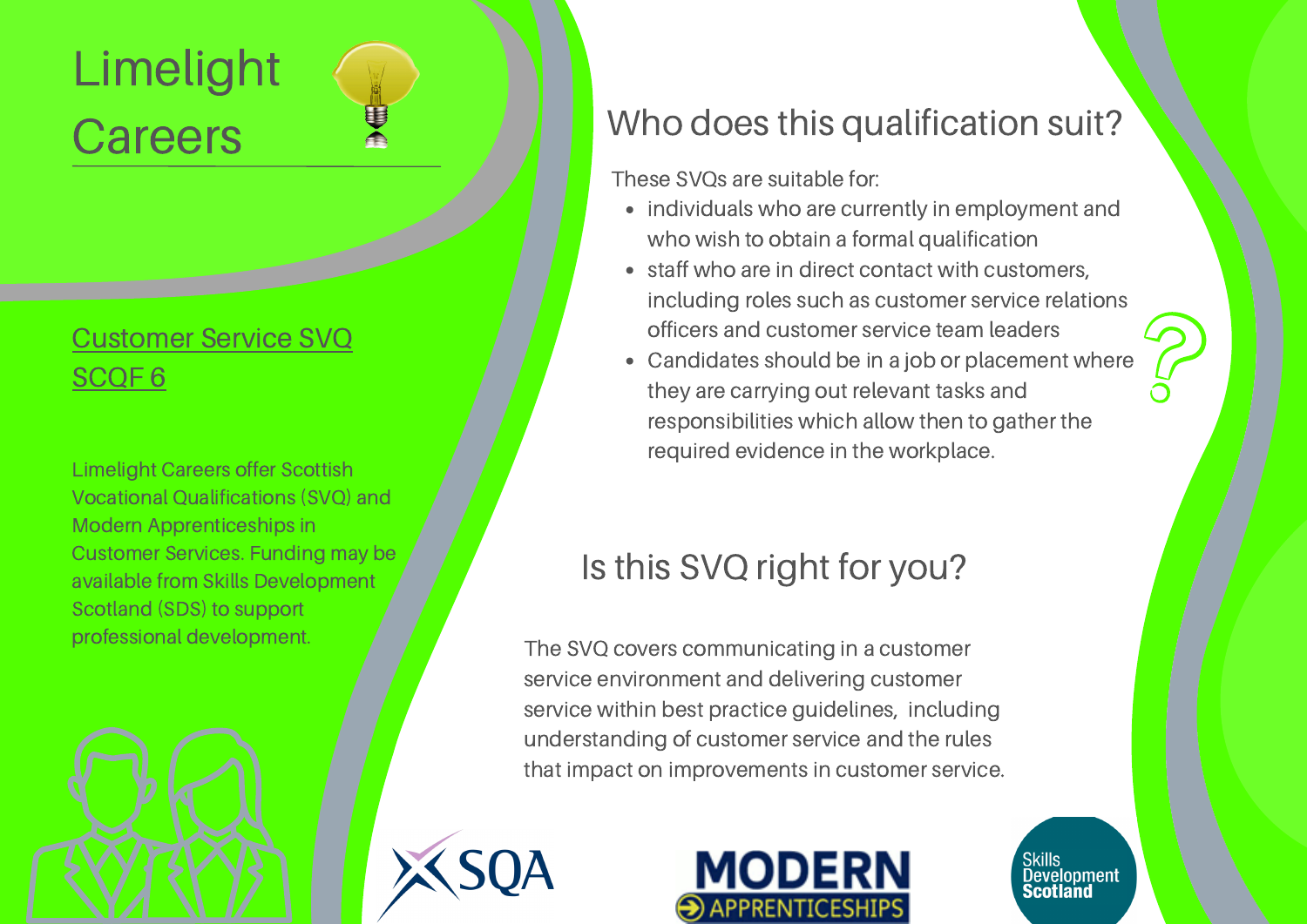# Limelight **Careers**

#### [Customer](https://www.sqa.org.uk/sqa/files_ccc/CUSTOMERSERVICEL3GL0D23GASTRUCTURE.pdf) Service SVQ [SCQF](https://www.sqa.org.uk/sqa/files_ccc/CUSTOMERSERVICEL3GL0D23GASTRUCTURE.pdf) 6

Limelight Careers offer Scottish Vocational Qualifications (SVQ) and Modern Apprenticeships in Customer Services. Funding may be available from Skills Development Scotland (SDS) to support professional development.

#### Who does this qualification suit?

These SVQs are suitable for:

- individuals who are currently in employment and who wish to obtain a formal qualification
- staff who are in direct contact with customers, including roles such as customer service relations officers and customer service team leaders
- Candidates should be in a job or placement where they are carrying out relevant tasks and responsibilities which allow then to gather the required evidence in the workplace.

### Is this SVQ right for you?

The SVQ covers communicating in a customer service environment and delivering customer service within best practice guidelines, including understanding of customer service and the rules that impact on improvements in customer service.





Skills<br>Dev<u>el</u>opment **Scotland**